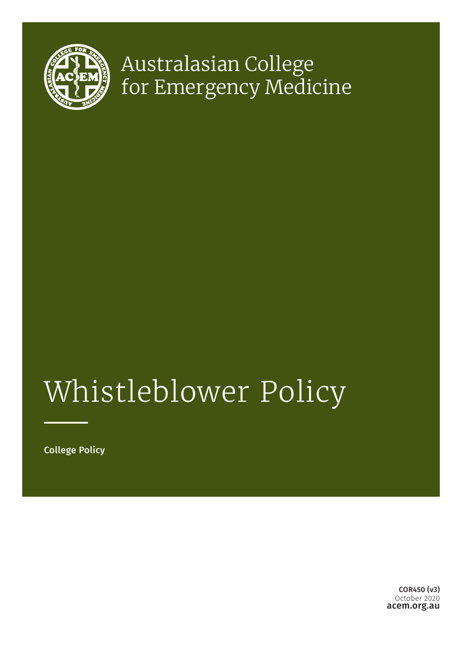

## Australasian College for Emergency Medicine

# Whistleblower Policy

College Policy

acem.org.au COR450 (v3) October 2020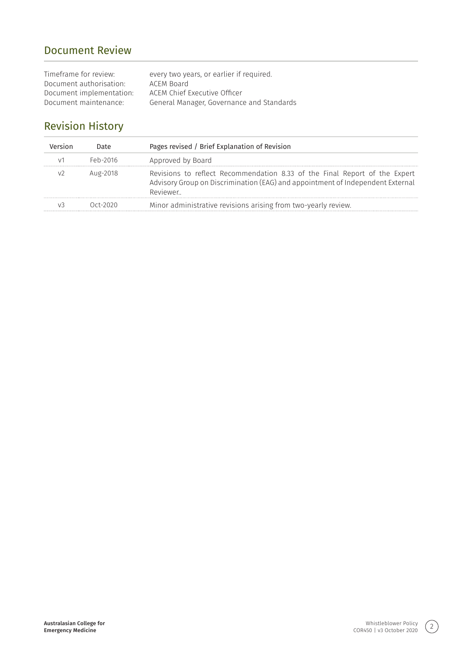## Document Review

| Timeframe for review:    | every two years, or earlier if required.  |
|--------------------------|-------------------------------------------|
| Document authorisation:  | ACEM Board                                |
| Document implementation: | ACEM Chief Executive Officer              |
| Document maintenance:    | General Manager, Governance and Standards |

## Revision History

| Version | Date     | Pages revised / Brief Explanation of Revision                                                                                                                            |
|---------|----------|--------------------------------------------------------------------------------------------------------------------------------------------------------------------------|
|         | Feb-2016 | Approved by Board                                                                                                                                                        |
|         | Aug-2018 | Revisions to reflect Recommendation 8.33 of the Final Report of the Expert<br>Advisory Group on Discrimination (EAG) and appointment of Independent External<br>Reviewer |
|         | ∩rt-2020 | Minor administrative revisions arising from two-yearly review.                                                                                                           |

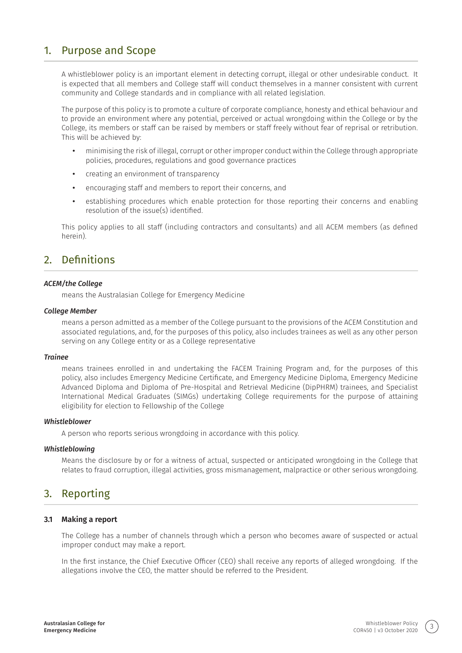## 1. Purpose and Scope

A whistleblower policy is an important element in detecting corrupt, illegal or other undesirable conduct. It is expected that all members and College staff will conduct themselves in a manner consistent with current community and College standards and in compliance with all related legislation.

The purpose of this policy is to promote a culture of corporate compliance, honesty and ethical behaviour and to provide an environment where any potential, perceived or actual wrongdoing within the College or by the College, its members or staff can be raised by members or staff freely without fear of reprisal or retribution. This will be achieved by:

- **•** minimising the risk of illegal, corrupt or other improper conduct within the College through appropriate policies, procedures, regulations and good governance practices
- **•** creating an environment of transparency
- **•** encouraging staff and members to report their concerns, and
- **•** establishing procedures which enable protection for those reporting their concerns and enabling resolution of the issue(s) identified.

This policy applies to all staff (including contractors and consultants) and all ACEM members (as defined herein).

## 2. Definitions

#### *ACEM/the College*

means the Australasian College for Emergency Medicine

#### *College Member*

means a person admitted as a member of the College pursuant to the provisions of the ACEM Constitution and associated regulations, and, for the purposes of this policy, also includes trainees as well as any other person serving on any College entity or as a College representative

#### *Trainee*

means trainees enrolled in and undertaking the FACEM Training Program and, for the purposes of this policy, also includes Emergency Medicine Certificate, and Emergency Medicine Diploma, Emergency Medicine Advanced Diploma and Diploma of Pre-Hospital and Retrieval Medicine (DipPHRM) trainees, and Specialist International Medical Graduates (SIMGs) undertaking College requirements for the purpose of attaining eligibility for election to Fellowship of the College

#### *Whistleblower*

A person who reports serious wrongdoing in accordance with this policy.

#### *Whistleblowing*

Means the disclosure by or for a witness of actual, suspected or anticipated wrongdoing in the College that relates to fraud corruption, illegal activities, gross mismanagement, malpractice or other serious wrongdoing.

## 3. Reporting

#### **3.1 Making a report**

The College has a number of channels through which a person who becomes aware of suspected or actual improper conduct may make a report.

In the first instance, the Chief Executive Officer (CEO) shall receive any reports of alleged wrongdoing. If the allegations involve the CEO, the matter should be referred to the President.

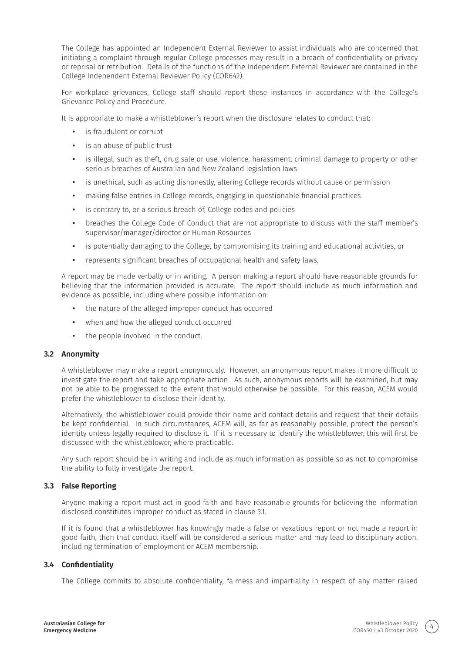The College has appointed an Independent External Reviewer to assist individuals who are concerned that initiating a complaint through regular College processes may result in a breach of confidentiality or privacy or reprisal or retribution. Details of the functions of the Independent External Reviewer are contained in the College Independent External Reviewer Policy (COR642).

For workplace grievances, College staff should report these instances in accordance with the College's Grievance Policy and Procedure.

It is appropriate to make a whistleblower's report when the disclosure relates to conduct that:

- **•** is fraudulent or corrupt
- **•** is an abuse of public trust
- **•** is illegal, such as theft, drug sale or use, violence, harassment, criminal damage to property or other serious breaches of Australian and New Zealand legislation laws
- **•** is unethical, such as acting dishonestly, altering College records without cause or permission
- **•** making false entries in College records, engaging in questionable financial practices
- **•** is contrary to, or a serious breach of, College codes and policies
- **•** breaches the College Code of Conduct that are not appropriate to discuss with the staff member's supervisor/manager/director or Human Resources
- **•** is potentially damaging to the College, by compromising its training and educational activities, or
- **•** represents significant breaches of occupational health and safety laws.

A report may be made verbally or in writing. A person making a report should have reasonable grounds for believing that the information provided is accurate. The report should include as much information and evidence as possible, including where possible information on:

- **•** the nature of the alleged improper conduct has occurred
- **•** when and how the alleged conduct occurred
- **•** the people involved in the conduct.

#### **3.2 Anonymity**

A whistleblower may make a report anonymously. However, an anonymous report makes it more difficult to investigate the report and take appropriate action. As such, anonymous reports will be examined, but may not be able to be progressed to the extent that would otherwise be possible. For this reason, ACEM would prefer the whistleblower to disclose their identity.

Alternatively, the whistleblower could provide their name and contact details and request that their details be kept confidential. In such circumstances, ACEM will, as far as reasonably possible, protect the person's identity unless legally required to disclose it. If it is necessary to identify the whistleblower, this will first be discussed with the whistleblower, where practicable.

Any such report should be in writing and include as much information as possible so as not to compromise the ability to fully investigate the report.

#### **3.3 False Reporting**

Anyone making a report must act in good faith and have reasonable grounds for believing the information disclosed constitutes improper conduct as stated in clause 3.1.

If it is found that a whistleblower has knowingly made a false or vexatious report or not made a report in good faith, then that conduct itself will be considered a serious matter and may lead to disciplinary action, including termination of employment or ACEM membership.

#### **3.4 Confidentiality**

The College commits to absolute confidentiality, fairness and impartiality in respect of any matter raised

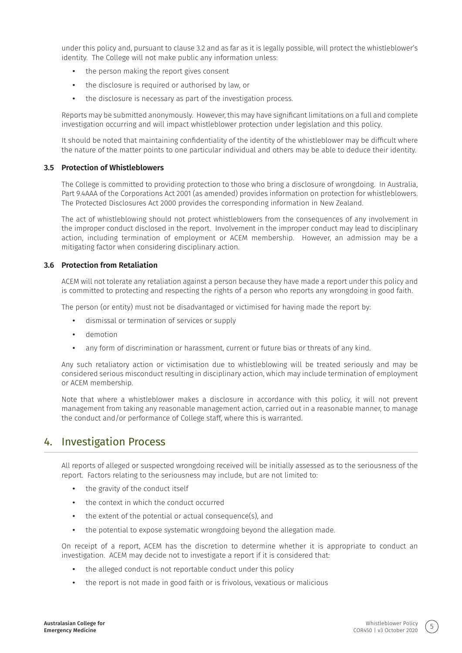under this policy and, pursuant to clause 3.2 and as far as it is legally possible, will protect the whistleblower's identity. The College will not make public any information unless:

- **•** the person making the report gives consent
- **•** the disclosure is required or authorised by law, or
- **•** the disclosure is necessary as part of the investigation process.

Reports may be submitted anonymously. However, this may have significant limitations on a full and complete investigation occurring and will impact whistleblower protection under legislation and this policy.

It should be noted that maintaining confidentiality of the identity of the whistleblower may be difficult where the nature of the matter points to one particular individual and others may be able to deduce their identity.

#### **3.5 Protection of Whistleblowers**

The College is committed to providing protection to those who bring a disclosure of wrongdoing. In Australia, Part 9.4AAA of the Corporations Act 2001 (as amended) provides information on protection for whistleblowers. The Protected Disclosures Act 2000 provides the corresponding information in New Zealand.

The act of whistleblowing should not protect whistleblowers from the consequences of any involvement in the improper conduct disclosed in the report. Involvement in the improper conduct may lead to disciplinary action, including termination of employment or ACEM membership. However, an admission may be a mitigating factor when considering disciplinary action.

#### **3.6 Protection from Retaliation**

ACEM will not tolerate any retaliation against a person because they have made a report under this policy and is committed to protecting and respecting the rights of a person who reports any wrongdoing in good faith.

The person (or entity) must not be disadvantaged or victimised for having made the report by:

- **•** dismissal or termination of services or supply
- **•** demotion
- **•** any form of discrimination or harassment, current or future bias or threats of any kind.

Any such retaliatory action or victimisation due to whistleblowing will be treated seriously and may be considered serious misconduct resulting in disciplinary action, which may include termination of employment or ACEM membership.

Note that where a whistleblower makes a disclosure in accordance with this policy, it will not prevent management from taking any reasonable management action, carried out in a reasonable manner, to manage the conduct and/or performance of College staff, where this is warranted.

## 4. Investigation Process

All reports of alleged or suspected wrongdoing received will be initially assessed as to the seriousness of the report. Factors relating to the seriousness may include, but are not limited to:

- **•** the gravity of the conduct itself
- **•** the context in which the conduct occurred
- **•** the extent of the potential or actual consequence(s), and
- **•** the potential to expose systematic wrongdoing beyond the allegation made.

On receipt of a report, ACEM has the discretion to determine whether it is appropriate to conduct an investigation. ACEM may decide not to investigate a report if it is considered that:

- **•** the alleged conduct is not reportable conduct under this policy
- **•** the report is not made in good faith or is frivolous, vexatious or malicious

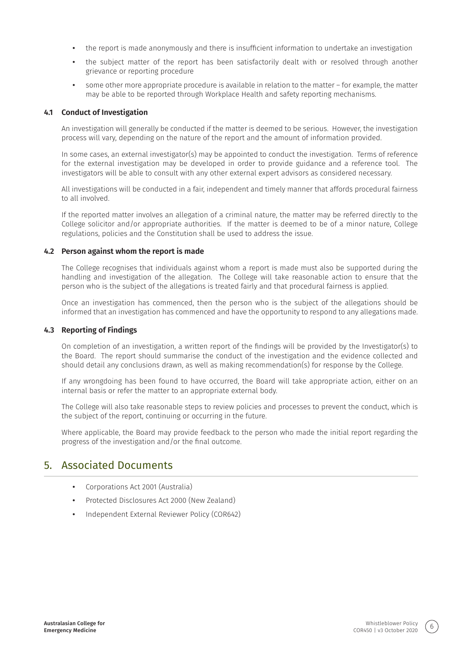- **•** the report is made anonymously and there is insufficient information to undertake an investigation
- **•** the subject matter of the report has been satisfactorily dealt with or resolved through another grievance or reporting procedure
- **•** some other more appropriate procedure is available in relation to the matter for example, the matter may be able to be reported through Workplace Health and safety reporting mechanisms.

#### **4.1 Conduct of Investigation**

An investigation will generally be conducted if the matter is deemed to be serious. However, the investigation process will vary, depending on the nature of the report and the amount of information provided.

In some cases, an external investigator(s) may be appointed to conduct the investigation. Terms of reference for the external investigation may be developed in order to provide guidance and a reference tool. The investigators will be able to consult with any other external expert advisors as considered necessary.

All investigations will be conducted in a fair, independent and timely manner that affords procedural fairness to all involved.

If the reported matter involves an allegation of a criminal nature, the matter may be referred directly to the College solicitor and/or appropriate authorities. If the matter is deemed to be of a minor nature, College regulations, policies and the Constitution shall be used to address the issue.

#### **4.2 Person against whom the report is made**

The College recognises that individuals against whom a report is made must also be supported during the handling and investigation of the allegation. The College will take reasonable action to ensure that the person who is the subject of the allegations is treated fairly and that procedural fairness is applied.

Once an investigation has commenced, then the person who is the subject of the allegations should be informed that an investigation has commenced and have the opportunity to respond to any allegations made.

#### **4.3 Reporting of Findings**

On completion of an investigation, a written report of the findings will be provided by the Investigator(s) to the Board. The report should summarise the conduct of the investigation and the evidence collected and should detail any conclusions drawn, as well as making recommendation(s) for response by the College.

If any wrongdoing has been found to have occurred, the Board will take appropriate action, either on an internal basis or refer the matter to an appropriate external body.

The College will also take reasonable steps to review policies and processes to prevent the conduct, which is the subject of the report, continuing or occurring in the future.

Where applicable, the Board may provide feedback to the person who made the initial report regarding the progress of the investigation and/or the final outcome.

## 5. Associated Documents

- **•** Corporations Act 2001 (Australia)
- **•** Protected Disclosures Act 2000 (New Zealand)
- **•** Independent External Reviewer Policy (COR642)